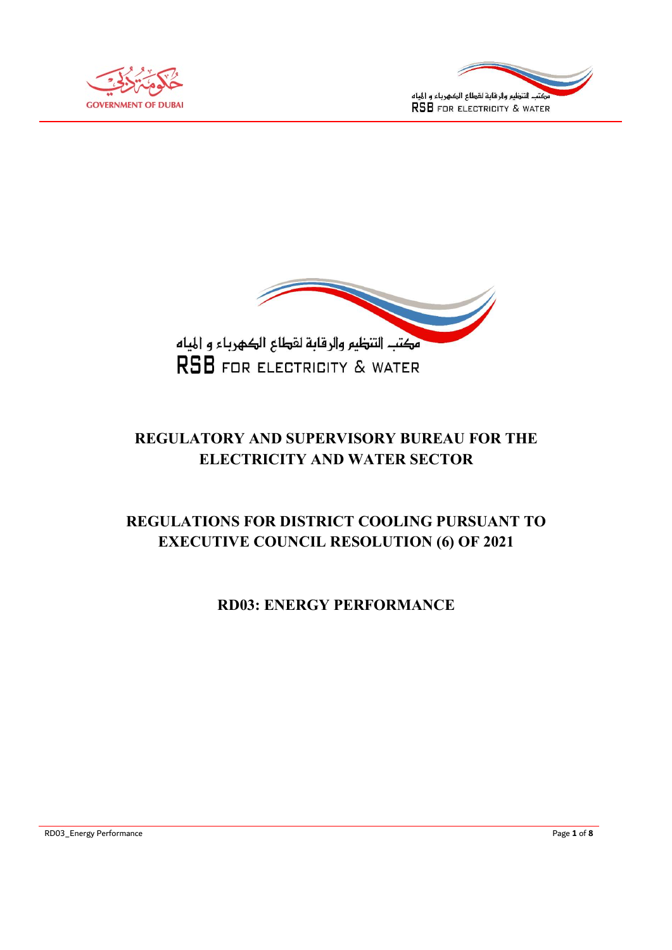





# REGULATORY AND SUPERVISORY BUREAU FOR THE ELECTRICITY AND WATER SECTOR

# REGULATIONS FOR DISTRICT COOLING PURSUANT TO EXECUTIVE COUNCIL RESOLUTION (6) OF 2021

# RD03: ENERGY PERFORMANCE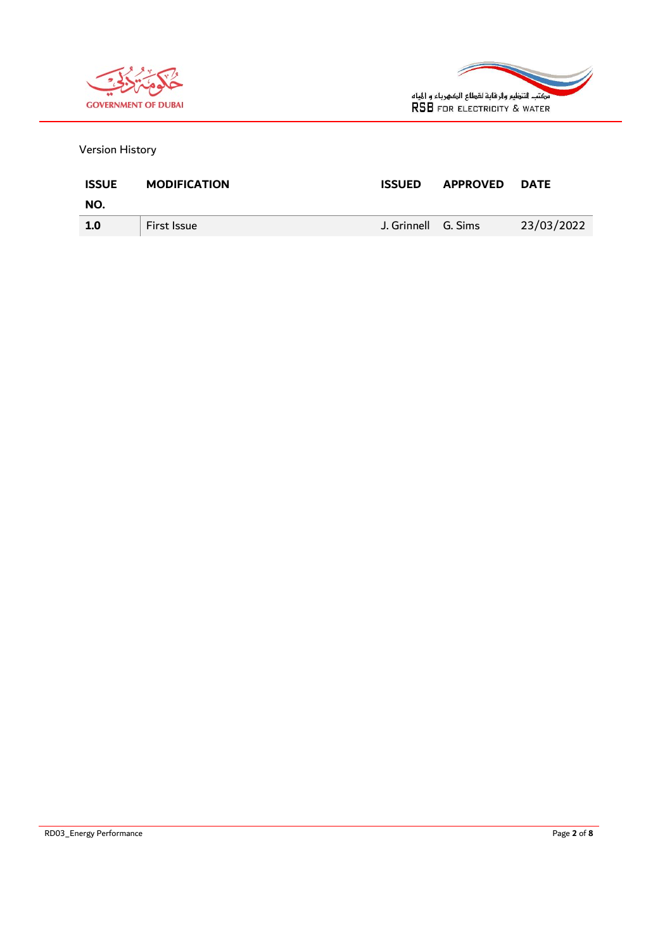



Version History

| <b>ISSUE</b> | <b>MODIFICATION</b> | <b>ISSUED</b>       | <b>APPROVED</b> | <b>DATE</b> |
|--------------|---------------------|---------------------|-----------------|-------------|
| NO.          |                     |                     |                 |             |
| 1.0          | <b>First Issue</b>  | J. Grinnell G. Sims |                 | 23/03/2022  |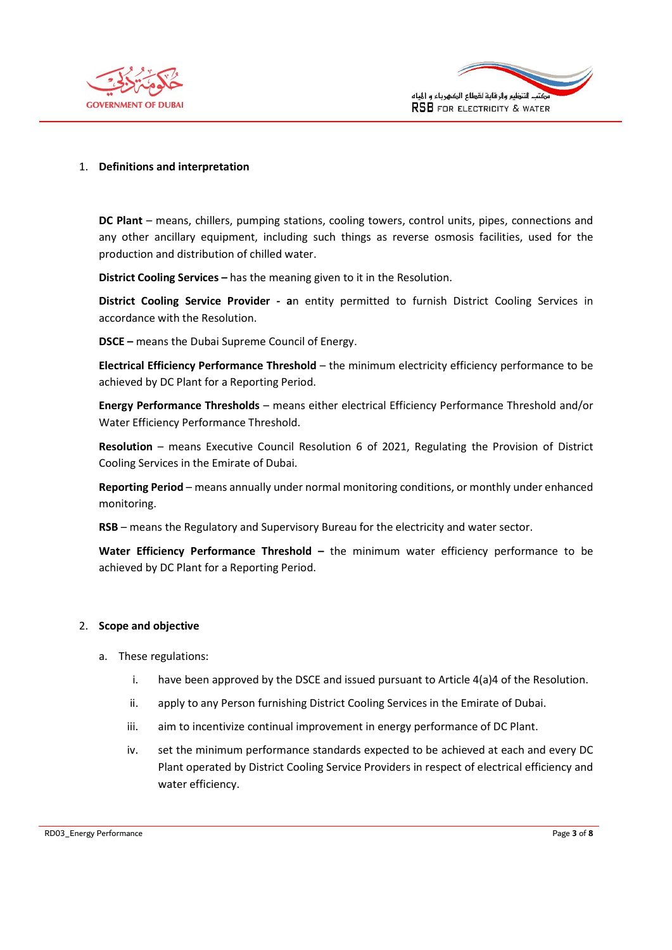



#### 1. Definitions and interpretation

DC Plant – means, chillers, pumping stations, cooling towers, control units, pipes, connections and any other ancillary equipment, including such things as reverse osmosis facilities, used for the production and distribution of chilled water.

District Cooling Services – has the meaning given to it in the Resolution.

District Cooling Service Provider - an entity permitted to furnish District Cooling Services in accordance with the Resolution.

DSCE – means the Dubai Supreme Council of Energy.

Electrical Efficiency Performance Threshold – the minimum electricity efficiency performance to be achieved by DC Plant for a Reporting Period.

Energy Performance Thresholds – means either electrical Efficiency Performance Threshold and/or Water Efficiency Performance Threshold.

Resolution – means Executive Council Resolution 6 of 2021, Regulating the Provision of District Cooling Services in the Emirate of Dubai.

Reporting Period – means annually under normal monitoring conditions, or monthly under enhanced monitoring.

RSB – means the Regulatory and Supervisory Bureau for the electricity and water sector.

Water Efficiency Performance Threshold  $-$  the minimum water efficiency performance to be achieved by DC Plant for a Reporting Period.

#### 2. Scope and objective

- a. These regulations:
	- i. have been approved by the DSCE and issued pursuant to Article  $4(a)4$  of the Resolution.
	- ii. apply to any Person furnishing District Cooling Services in the Emirate of Dubai.
	- iii. aim to incentivize continual improvement in energy performance of DC Plant.
	- iv. set the minimum performance standards expected to be achieved at each and every DC Plant operated by District Cooling Service Providers in respect of electrical efficiency and water efficiency.

RD03\_Energy Performance **Page 3 of 8** and 2011 **Page 3 of 8** and 2012 **Page 3 of 8** and 2012 **Page 3 of 8**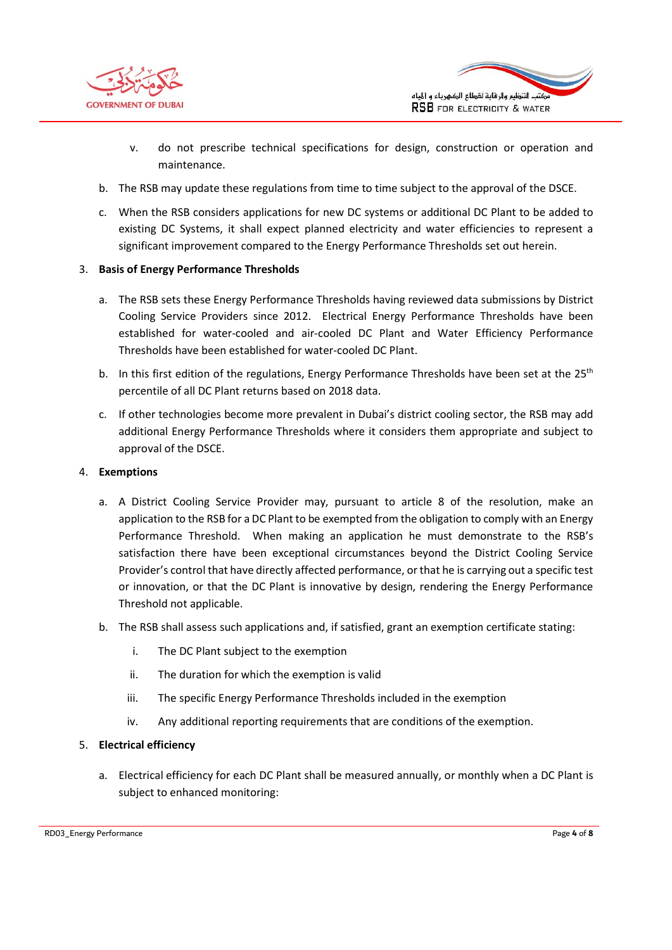



- v. do not prescribe technical specifications for design, construction or operation and maintenance.
- b. The RSB may update these regulations from time to time subject to the approval of the DSCE.
- c. When the RSB considers applications for new DC systems or additional DC Plant to be added to existing DC Systems, it shall expect planned electricity and water efficiencies to represent a significant improvement compared to the Energy Performance Thresholds set out herein.

### 3. Basis of Energy Performance Thresholds

- a. The RSB sets these Energy Performance Thresholds having reviewed data submissions by District Cooling Service Providers since 2012. Electrical Energy Performance Thresholds have been established for water-cooled and air-cooled DC Plant and Water Efficiency Performance Thresholds have been established for water-cooled DC Plant.
- b. In this first edition of the regulations, Energy Performance Thresholds have been set at the  $25<sup>th</sup>$ percentile of all DC Plant returns based on 2018 data.
- c. If other technologies become more prevalent in Dubai's district cooling sector, the RSB may add additional Energy Performance Thresholds where it considers them appropriate and subject to approval of the DSCE.

### 4. Exemptions

- a. A District Cooling Service Provider may, pursuant to article 8 of the resolution, make an application to the RSB for a DC Plant to be exempted from the obligation to comply with an Energy Performance Threshold. When making an application he must demonstrate to the RSB's satisfaction there have been exceptional circumstances beyond the District Cooling Service Provider's control that have directly affected performance, or that he is carrying out a specific test or innovation, or that the DC Plant is innovative by design, rendering the Energy Performance Threshold not applicable.
- b. The RSB shall assess such applications and, if satisfied, grant an exemption certificate stating:
	- i. The DC Plant subject to the exemption
	- ii. The duration for which the exemption is valid
	- iii. The specific Energy Performance Thresholds included in the exemption
	- iv. Any additional reporting requirements that are conditions of the exemption.

#### 5. Electrical efficiency

a. Electrical efficiency for each DC Plant shall be measured annually, or monthly when a DC Plant is subject to enhanced monitoring:

RD03\_Energy Performance **Page 4 of 8** and 2011 **Page 4 of 8** and 2012 **Page 4 of 8** and 2012 **Page 4 of 8**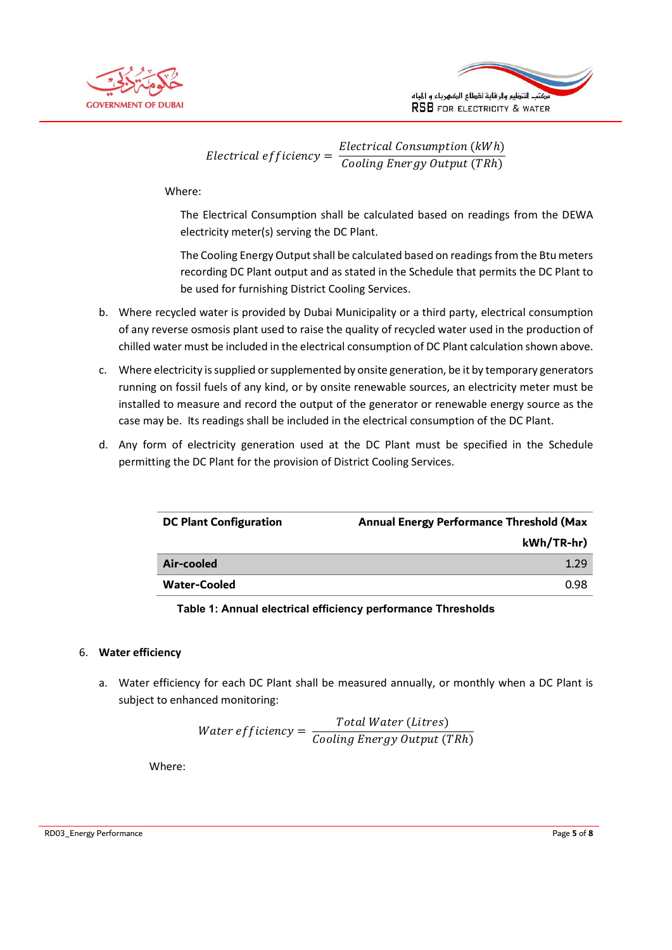



Electrical efficiency =  $\frac{Electrical\ Commission(kWh)}{Goaling\ From\infty}$ Cooling Energy Output (TRh)

Where:

The Electrical Consumption shall be calculated based on readings from the DEWA electricity meter(s) serving the DC Plant.

The Cooling Energy Output shall be calculated based on readings from the Btu meters recording DC Plant output and as stated in the Schedule that permits the DC Plant to be used for furnishing District Cooling Services.

- b. Where recycled water is provided by Dubai Municipality or a third party, electrical consumption of any reverse osmosis plant used to raise the quality of recycled water used in the production of chilled water must be included in the electrical consumption of DC Plant calculation shown above.
- c. Where electricity is supplied or supplemented by onsite generation, be it by temporary generators running on fossil fuels of any kind, or by onsite renewable sources, an electricity meter must be installed to measure and record the output of the generator or renewable energy source as the case may be. Its readings shall be included in the electrical consumption of the DC Plant.
- d. Any form of electricity generation used at the DC Plant must be specified in the Schedule permitting the DC Plant for the provision of District Cooling Services.

| <b>DC Plant Configuration</b> | <b>Annual Energy Performance Threshold (Max</b> |
|-------------------------------|-------------------------------------------------|
|                               | kWh/TR-hr)                                      |
| Air-cooled                    | 1.29                                            |
| <b>Water-Cooled</b>           | 0.98                                            |
|                               |                                                 |

Table 1: Annual electrical efficiency performance Thresholds

### 6. Water efficiency

a. Water efficiency for each DC Plant shall be measured annually, or monthly when a DC Plant is subject to enhanced monitoring:

> Water efficiency  $=$   $\frac{Total Water (litres)}{Cosdim \epsilon$  Energy Outmit (7) Cooling Energy Output (TRh)

Where:

RD03\_Energy Performance **Page 5 of 8** and 2011 **Page 5 of 8** and 2012 **Page 5 of 8** and 2012 **Page 5 of 8** and 2012 **Page 5 of 8**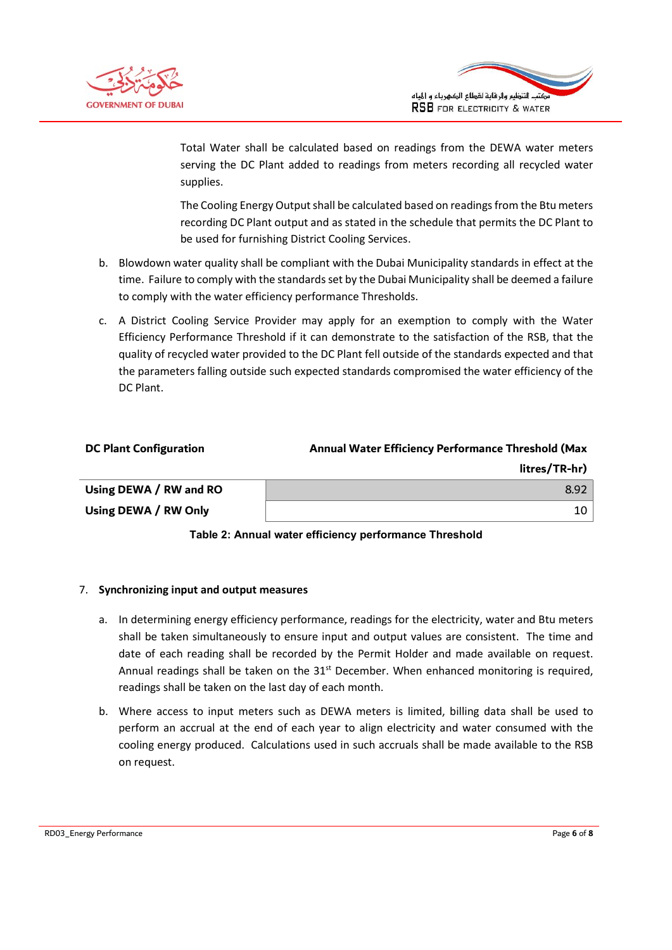



Total Water shall be calculated based on readings from the DEWA water meters serving the DC Plant added to readings from meters recording all recycled water supplies.

The Cooling Energy Output shall be calculated based on readings from the Btu meters recording DC Plant output and as stated in the schedule that permits the DC Plant to be used for furnishing District Cooling Services.

- b. Blowdown water quality shall be compliant with the Dubai Municipality standards in effect at the time. Failure to comply with the standards set by the Dubai Municipality shall be deemed a failure to comply with the water efficiency performance Thresholds.
- c. A District Cooling Service Provider may apply for an exemption to comply with the Water Efficiency Performance Threshold if it can demonstrate to the satisfaction of the RSB, that the quality of recycled water provided to the DC Plant fell outside of the standards expected and that the parameters falling outside such expected standards compromised the water efficiency of the DC Plant.

| <b>DC Plant Configuration</b> | <b>Annual Water Efficiency Performance Threshold (Max</b> |
|-------------------------------|-----------------------------------------------------------|
|                               | litres/TR-hr)                                             |
| Using DEWA / RW and RO        | 8.92                                                      |
| Using DEWA / RW Only          | 10 I                                                      |



### 7. Synchronizing input and output measures

- a. In determining energy efficiency performance, readings for the electricity, water and Btu meters shall be taken simultaneously to ensure input and output values are consistent. The time and date of each reading shall be recorded by the Permit Holder and made available on request. Annual readings shall be taken on the  $31<sup>st</sup>$  December. When enhanced monitoring is required, readings shall be taken on the last day of each month.
- b. Where access to input meters such as DEWA meters is limited, billing data shall be used to perform an accrual at the end of each year to align electricity and water consumed with the cooling energy produced. Calculations used in such accruals shall be made available to the RSB on request.

RD03\_Energy Performance **Page 6 of 8** and 2011 12 and 2012 12 and 2012 12 and 2012 12 and 2012 12 and 2012 12 and 2012 12 and 2012 12 and 2012 12 and 2012 12 and 2012 12 and 2012 12 and 2012 12 and 2012 12 and 2012 12 and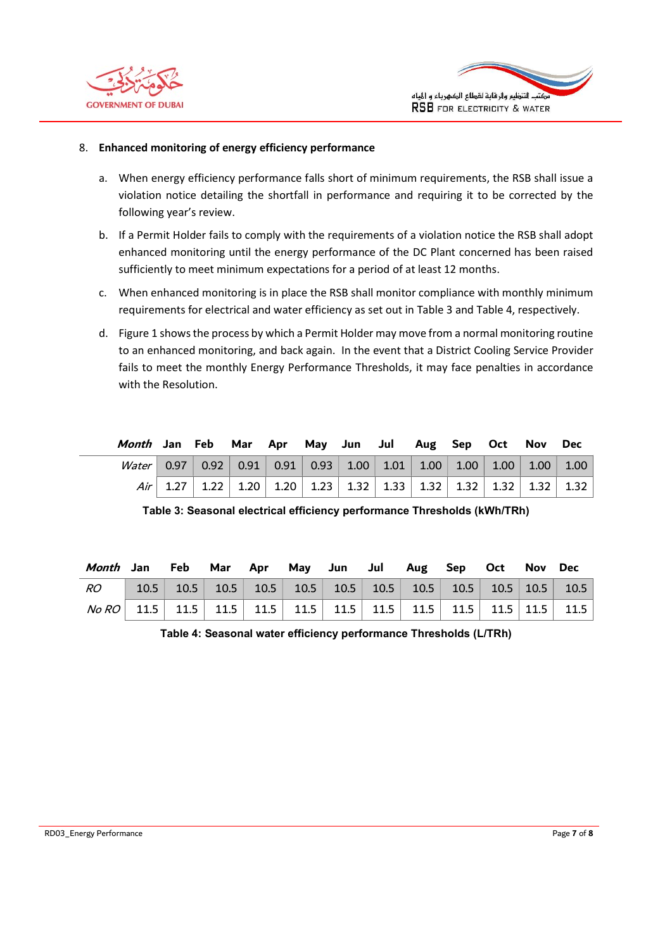



#### 8. Enhanced monitoring of energy efficiency performance

- a. When energy efficiency performance falls short of minimum requirements, the RSB shall issue a violation notice detailing the shortfall in performance and requiring it to be corrected by the following year's review.
- b. If a Permit Holder fails to comply with the requirements of a violation notice the RSB shall adopt enhanced monitoring until the energy performance of the DC Plant concerned has been raised sufficiently to meet minimum expectations for a period of at least 12 months.
- c. When enhanced monitoring is in place the RSB shall monitor compliance with monthly minimum requirements for electrical and water efficiency as set out in Table 3 and Table 4, respectively.
- d. Figure 1 shows the process by which a Permit Holder may move from a normal monitoring routine to an enhanced monitoring, and back again. In the event that a District Cooling Service Provider fails to meet the monthly Energy Performance Thresholds, it may face penalties in accordance with the Resolution.

| Month Jan Feb Mar Apr May Jun Jul Aug Sep Oct Nov Dec             |  |  |  |  |  |  |
|-------------------------------------------------------------------|--|--|--|--|--|--|
| Water 0.97 0.92 0.91 0.91 0.93 1.00 1.01 1.00 1.00 1.00 1.00 1.00 |  |  |  |  |  |  |
|                                                                   |  |  |  |  |  |  |

| Table 3: Seasonal electrical efficiency performance Thresholds (kWh/TRh) |  |  |  |
|--------------------------------------------------------------------------|--|--|--|
|                                                                          |  |  |  |

| Month Jan Feb Mar Apr May Jun Jul Aug Sep Oct Nov Dec                                    |  |  |  |  |  |  |
|------------------------------------------------------------------------------------------|--|--|--|--|--|--|
| $RO$   10.5   10.5   10.5   10.5   10.5   10.5   10.5   10.5   10.5   10.5   10.5   10.5 |  |  |  |  |  |  |
|                                                                                          |  |  |  |  |  |  |

Table 4: Seasonal water efficiency performance Thresholds (L/TRh)